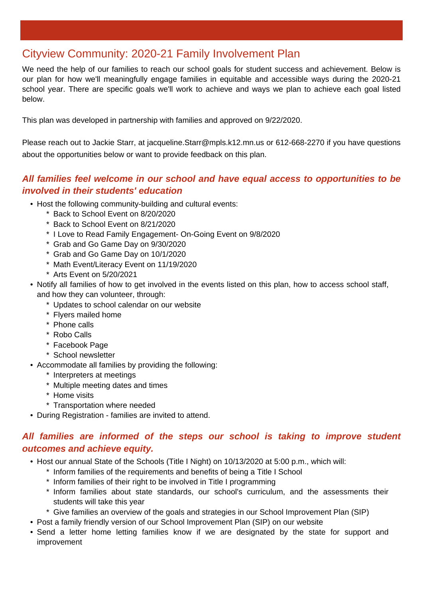# Cityview Community: 2020-21 Family Involvement Plan

We need the help of our families to reach our school goals for student success and achievement. Below is our plan for how we'll meaningfully engage families in equitable and accessible ways during the 2020-21 school year. There are specific goals we'll work to achieve and ways we plan to achieve each goal listed below.

This plan was developed in partnership with families and approved on 9/22/2020.

Please reach out to Jackie Starr, at jacqueline.Starr@mpls.k12.mn.us or 612-668-2270 if you have questions about the opportunities below or want to provide feedback on this plan.

# **All families feel welcome in our school and have equal access to opportunities to be involved in their students' education**

- Host the following community-building and cultural events:
	- \* Back to School Event on 8/20/2020
	- \* Back to School Event on 8/21/2020
	- \* I Love to Read Family Engagement- On-Going Event on 9/8/2020
	- \* Grab and Go Game Day on 9/30/2020
	- \* Grab and Go Game Day on 10/1/2020
	- \* Math Event/Literacy Event on 11/19/2020
	- \* Arts Event on 5/20/2021
- Notify all families of how to get involved in the events listed on this plan, how to access school staff, and how they can volunteer, through:
	- \* Updates to school calendar on our website
	- \* Flyers mailed home
	- \* Phone calls
	- \* Robo Calls
	- \* Facebook Page
	- \* School newsletter
- Accommodate all families by providing the following:
	- \* Interpreters at meetings
	- \* Multiple meeting dates and times
	- \* Home visits
	- \* Transportation where needed
- During Registration families are invited to attend.

#### **All families are informed of the steps our school is taking to improve student outcomes and achieve equity.**

- Host our annual State of the Schools (Title I Night) on 10/13/2020 at 5:00 p.m., which will:
	- \* Inform families of the requirements and benefits of being a Title I School
	- \* Inform families of their right to be involved in Title I programming
	- \* Inform families about state standards, our school's curriculum, and the assessments their students will take this year
	- \* Give families an overview of the goals and strategies in our School Improvement Plan (SIP)
- Post a family friendly version of our School Improvement Plan (SIP) on our website
- Send a letter home letting families know if we are designated by the state for support and improvement